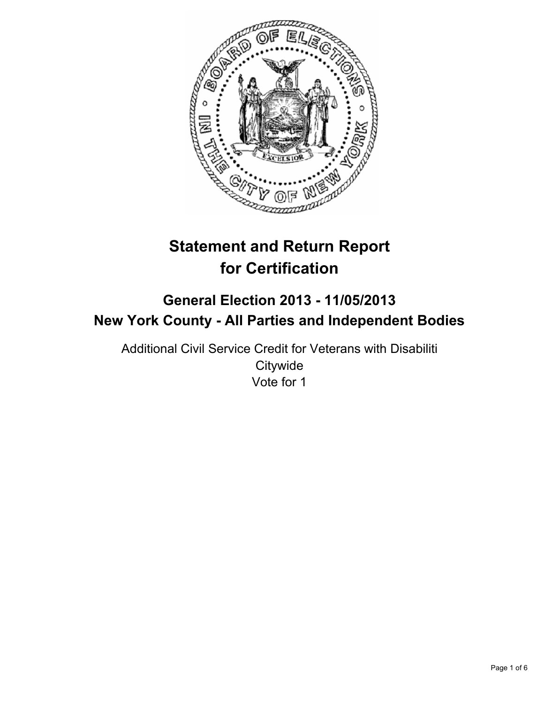

# **Statement and Return Report for Certification**

# **General Election 2013 - 11/05/2013 New York County - All Parties and Independent Bodies**

Additional Civil Service Credit for Veterans with Disabiliti **Citywide** Vote for 1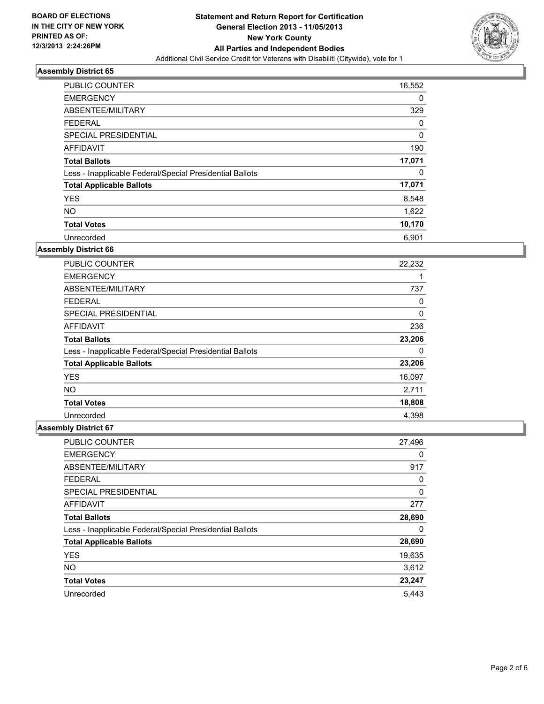

| PUBLIC COUNTER                                           | 16,552 |
|----------------------------------------------------------|--------|
| <b>EMERGENCY</b>                                         | 0      |
| ABSENTEE/MILITARY                                        | 329    |
| <b>FEDERAL</b>                                           | 0      |
| SPECIAL PRESIDENTIAL                                     | 0      |
| AFFIDAVIT                                                | 190    |
| <b>Total Ballots</b>                                     | 17,071 |
| Less - Inapplicable Federal/Special Presidential Ballots | 0      |
| <b>Total Applicable Ballots</b>                          | 17,071 |
| <b>YES</b>                                               | 8,548  |
| <b>NO</b>                                                | 1,622  |
| <b>Total Votes</b>                                       | 10,170 |
| Unrecorded                                               | 6,901  |

# **Assembly District 66**

| <b>PUBLIC COUNTER</b>                                    | 22,232 |
|----------------------------------------------------------|--------|
| <b>EMERGENCY</b>                                         |        |
| ABSENTEE/MILITARY                                        | 737    |
| <b>FEDERAL</b>                                           | 0      |
| <b>SPECIAL PRESIDENTIAL</b>                              | 0      |
| AFFIDAVIT                                                | 236    |
| <b>Total Ballots</b>                                     | 23,206 |
| Less - Inapplicable Federal/Special Presidential Ballots | 0      |
| <b>Total Applicable Ballots</b>                          | 23,206 |
| <b>YES</b>                                               | 16,097 |
| <b>NO</b>                                                | 2,711  |
| <b>Total Votes</b>                                       | 18,808 |
| Unrecorded                                               | 4,398  |

| <b>PUBLIC COUNTER</b>                                    | 27,496 |
|----------------------------------------------------------|--------|
| <b>EMERGENCY</b>                                         | 0      |
| ABSENTEE/MILITARY                                        | 917    |
| <b>FEDERAL</b>                                           | 0      |
| SPECIAL PRESIDENTIAL                                     | 0      |
| AFFIDAVIT                                                | 277    |
| <b>Total Ballots</b>                                     | 28,690 |
| Less - Inapplicable Federal/Special Presidential Ballots | 0      |
| <b>Total Applicable Ballots</b>                          | 28,690 |
| <b>YES</b>                                               | 19,635 |
| <b>NO</b>                                                | 3,612  |
| <b>Total Votes</b>                                       | 23,247 |
| Unrecorded                                               | 5.443  |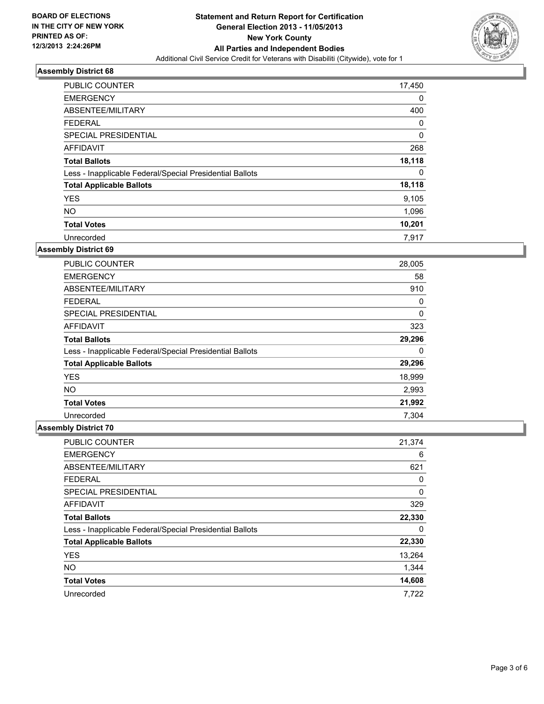

| <b>PUBLIC COUNTER</b>                                    | 17,450   |
|----------------------------------------------------------|----------|
| <b>EMERGENCY</b>                                         | 0        |
| ABSENTEE/MILITARY                                        | 400      |
| <b>FEDERAL</b>                                           | 0        |
| SPECIAL PRESIDENTIAL                                     | $\Omega$ |
| AFFIDAVIT                                                | 268      |
| <b>Total Ballots</b>                                     | 18,118   |
| Less - Inapplicable Federal/Special Presidential Ballots | 0        |
| <b>Total Applicable Ballots</b>                          | 18,118   |
| <b>YES</b>                                               | 9,105    |
| <b>NO</b>                                                | 1,096    |
| <b>Total Votes</b>                                       | 10,201   |
| Unrecorded                                               | 7.917    |

# **Assembly District 69**

| <b>PUBLIC COUNTER</b>                                    | 28,005 |
|----------------------------------------------------------|--------|
| <b>EMERGENCY</b>                                         | 58     |
| ABSENTEE/MILITARY                                        | 910    |
| <b>FEDERAL</b>                                           | 0      |
| <b>SPECIAL PRESIDENTIAL</b>                              | 0      |
| AFFIDAVIT                                                | 323    |
| <b>Total Ballots</b>                                     | 29,296 |
| Less - Inapplicable Federal/Special Presidential Ballots | 0      |
| <b>Total Applicable Ballots</b>                          | 29,296 |
| <b>YES</b>                                               | 18,999 |
| <b>NO</b>                                                | 2,993  |
| <b>Total Votes</b>                                       | 21,992 |
| Unrecorded                                               | 7.304  |

| PUBLIC COUNTER                                           | 21,374 |
|----------------------------------------------------------|--------|
| <b>EMERGENCY</b>                                         | 6      |
| ABSENTEE/MILITARY                                        | 621    |
| <b>FEDERAL</b>                                           | 0      |
| SPECIAL PRESIDENTIAL                                     | 0      |
| AFFIDAVIT                                                | 329    |
| <b>Total Ballots</b>                                     | 22,330 |
| Less - Inapplicable Federal/Special Presidential Ballots | 0      |
| <b>Total Applicable Ballots</b>                          | 22,330 |
| <b>YES</b>                                               | 13,264 |
| <b>NO</b>                                                | 1,344  |
| <b>Total Votes</b>                                       | 14,608 |
| Unrecorded                                               | 7,722  |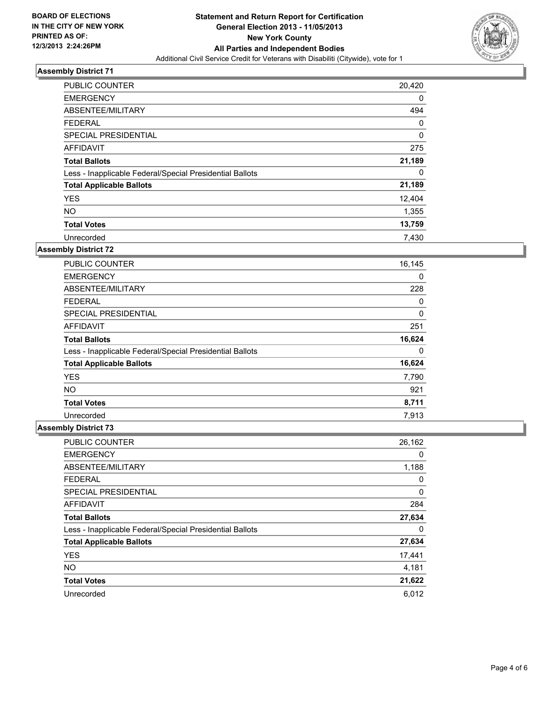

| <b>PUBLIC COUNTER</b>                                    | 20,420      |
|----------------------------------------------------------|-------------|
| <b>EMERGENCY</b>                                         | 0           |
| ABSENTEE/MILITARY                                        | 494         |
| <b>FEDERAL</b>                                           | 0           |
| SPECIAL PRESIDENTIAL                                     | $\mathbf 0$ |
| AFFIDAVIT                                                | 275         |
| <b>Total Ballots</b>                                     | 21,189      |
| Less - Inapplicable Federal/Special Presidential Ballots | 0           |
| <b>Total Applicable Ballots</b>                          | 21,189      |
| <b>YES</b>                                               | 12,404      |
| <b>NO</b>                                                | 1,355       |
| <b>Total Votes</b>                                       | 13,759      |
| Unrecorded                                               | 7.430       |

# **Assembly District 72**

| <b>PUBLIC COUNTER</b>                                    | 16,145 |
|----------------------------------------------------------|--------|
| <b>EMERGENCY</b>                                         | 0      |
| ABSENTEE/MILITARY                                        | 228    |
| <b>FEDERAL</b>                                           | 0      |
| <b>SPECIAL PRESIDENTIAL</b>                              | 0      |
| AFFIDAVIT                                                | 251    |
| <b>Total Ballots</b>                                     | 16,624 |
| Less - Inapplicable Federal/Special Presidential Ballots | 0      |
| <b>Total Applicable Ballots</b>                          | 16,624 |
| <b>YES</b>                                               | 7,790  |
| <b>NO</b>                                                | 921    |
| <b>Total Votes</b>                                       | 8,711  |
| Unrecorded                                               | 7,913  |

| PUBLIC COUNTER                                           | 26,162 |
|----------------------------------------------------------|--------|
| <b>EMERGENCY</b>                                         | 0      |
| ABSENTEE/MILITARY                                        | 1,188  |
| <b>FEDERAL</b>                                           | 0      |
| SPECIAL PRESIDENTIAL                                     | 0      |
| <b>AFFIDAVIT</b>                                         | 284    |
| <b>Total Ballots</b>                                     | 27,634 |
| Less - Inapplicable Federal/Special Presidential Ballots | 0      |
| <b>Total Applicable Ballots</b>                          | 27,634 |
| <b>YES</b>                                               | 17,441 |
| <b>NO</b>                                                | 4,181  |
| <b>Total Votes</b>                                       | 21,622 |
| Unrecorded                                               | 6,012  |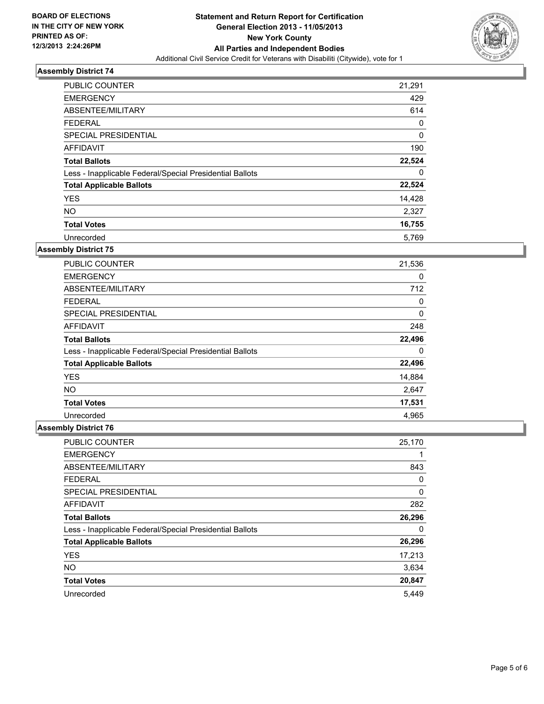

| <b>PUBLIC COUNTER</b>                                    | 21,291 |
|----------------------------------------------------------|--------|
| <b>EMERGENCY</b>                                         | 429    |
| ABSENTEE/MILITARY                                        | 614    |
| FEDERAL                                                  | 0      |
| <b>SPECIAL PRESIDENTIAL</b>                              | 0      |
| AFFIDAVIT                                                | 190    |
| <b>Total Ballots</b>                                     | 22,524 |
| Less - Inapplicable Federal/Special Presidential Ballots | 0      |
| <b>Total Applicable Ballots</b>                          | 22,524 |
| <b>YES</b>                                               | 14,428 |
| <b>NO</b>                                                | 2,327  |
| <b>Total Votes</b>                                       | 16,755 |
| Unrecorded                                               | 5,769  |

# **Assembly District 75**

| <b>PUBLIC COUNTER</b>                                    | 21,536 |
|----------------------------------------------------------|--------|
| <b>EMERGENCY</b>                                         | 0      |
| ABSENTEE/MILITARY                                        | 712    |
| <b>FEDERAL</b>                                           | 0      |
| <b>SPECIAL PRESIDENTIAL</b>                              | 0      |
| AFFIDAVIT                                                | 248    |
| <b>Total Ballots</b>                                     | 22,496 |
| Less - Inapplicable Federal/Special Presidential Ballots | 0      |
| <b>Total Applicable Ballots</b>                          | 22,496 |
| <b>YES</b>                                               | 14,884 |
| <b>NO</b>                                                | 2,647  |
| <b>Total Votes</b>                                       | 17,531 |
| Unrecorded                                               | 4.965  |

| <b>PUBLIC COUNTER</b>                                    | 25,170 |
|----------------------------------------------------------|--------|
| <b>EMERGENCY</b>                                         |        |
| ABSENTEE/MILITARY                                        | 843    |
| <b>FEDERAL</b>                                           | 0      |
| SPECIAL PRESIDENTIAL                                     | 0      |
| AFFIDAVIT                                                | 282    |
| <b>Total Ballots</b>                                     | 26,296 |
| Less - Inapplicable Federal/Special Presidential Ballots | 0      |
| <b>Total Applicable Ballots</b>                          | 26,296 |
| <b>YES</b>                                               | 17,213 |
| <b>NO</b>                                                | 3,634  |
| <b>Total Votes</b>                                       | 20,847 |
| Unrecorded                                               | 5.449  |